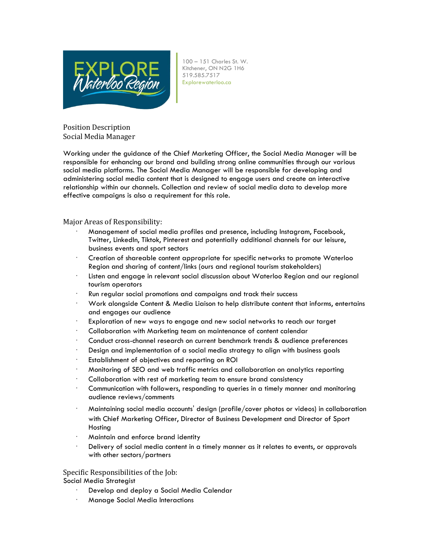

100 – 151 Charles St. W. Kitchener, ON N2G 1H6 519.585.7517 Explorewaterloo.ca

Position Description Social Media Manager

Working under the guidance of the Chief Marketing Officer, the Social Media Manager will be responsible for enhancing our brand and building strong online communities through our various social media platforms. The Social Media Manager will be responsible for developing and administering social media content that is designed to engage users and create an interactive relationship within our channels. Collection and review of social media data to develop more effective campaigns is also a requirement for this role.

Major Areas of Responsibility:

- · Management of social media profiles and presence, including Instagram, Facebook, Twitter, LinkedIn, Tiktok, Pinterest and potentially additional channels for our leisure, business events and sport sectors
- · Creation of shareable content appropriate for specific networks to promote Waterloo Region and sharing of content/links (ours and regional tourism stakeholders)
- Listen and engage in relevant social discussion about Waterloo Region and our regional tourism operators
- · Run regular social promotions and campaigns and track their success
- · Work alongside Content & Media Liaison to help distribute content that informs, entertains and engages our audience
- Exploration of new ways to engage and new social networks to reach our target
- · Collaboration with Marketing team on maintenance of content calendar
- · Conduct cross-channel research on current benchmark trends & audience preferences
- · Design and implementation of a social media strategy to align with business goals
- Establishment of objectives and reporting on ROI
- · Monitoring of SEO and web traffic metrics and collaboration on analytics reporting
- Collaboration with rest of marketing team to ensure brand consistency
- · Communication with followers, responding to queries in a timely manner and monitoring audience reviews/comments
- · Maintaining social media accounts' design (profile/cover photos or videos) in collaboration with Chief Marketing Officer, Director of Business Development and Director of Sport Hosting
- · Maintain and enforce brand identity
- · Delivery of social media content in a timely manner as it relates to events, or approvals with other sectors/partners

Specific Responsibilities of the Job:

Social Media Strategist

- Develop and deploy a Social Media Calendar
- · Manage Social Media Interactions